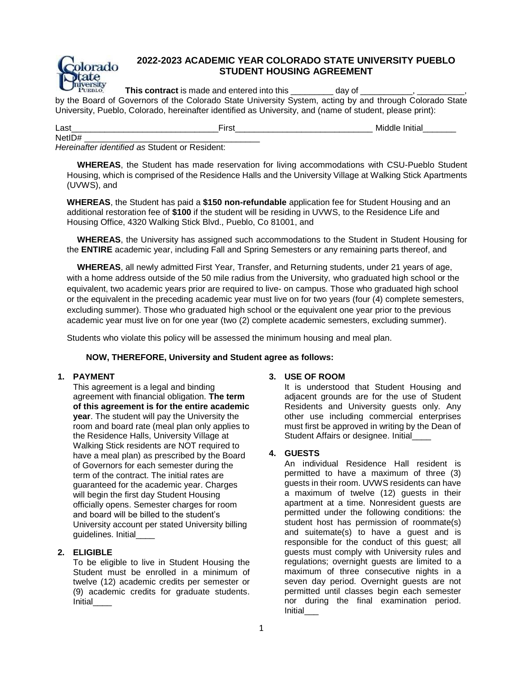

# **2022-2023 ACADEMIC YEAR COLORADO STATE UNIVERSITY PUEBLO STUDENT HOUSING AGREEMENT**

**This contract** is made and entered into this **EXECUTE:** day of

by the Board of Governors of the Colorado State University System, acting by and through Colorado State University, Pueblo, Colorado, hereinafter identified as University, and (name of student, please print):

| $\sim$<br>Las<br>__ | -<br>---- | vı<br>_______ |
|---------------------|-----------|---------------|
| Netll               |           |               |

*Hereinafter identified as* Student or Resident:

**WHEREAS**, the Student has made reservation for living accommodations with CSU-Pueblo Student Housing, which is comprised of the Residence Halls and the University Village at Walking Stick Apartments (UVWS), and

**WHEREAS**, the Student has paid a **\$150 non-refundable** application fee for Student Housing and an additional restoration fee of **\$100** if the student will be residing in UVWS, to the Residence Life and Housing Office, 4320 Walking Stick Blvd., Pueblo, Co 81001, and

**WHEREAS**, the University has assigned such accommodations to the Student in Student Housing for the **ENTIRE** academic year, including Fall and Spring Semesters or any remaining parts thereof, and

**WHEREAS**, all newly admitted First Year, Transfer, and Returning students, under 21 years of age, with a home address outside of the 50 mile radius from the University, who graduated high school or the equivalent, two academic years prior are required to live- on campus. Those who graduated high school or the equivalent in the preceding academic year must live on for two years (four (4) complete semesters, excluding summer). Those who graduated high school or the equivalent one year prior to the previous academic year must live on for one year (two (2) complete academic semesters, excluding summer).

Students who violate this policy will be assessed the minimum housing and meal plan.

# **NOW, THEREFORE, University and Student agree as follows:**

# **1. PAYMENT**

This agreement is a legal and binding agreement with financial obligation. **The term of this agreement is for the entire academic year**. The student will pay the University the room and board rate (meal plan only applies to the Residence Halls, University Village at Walking Stick residents are NOT required to have a meal plan) as prescribed by the Board of Governors for each semester during the term of the contract. The initial rates are guaranteed for the academic year. Charges will begin the first day Student Housing officially opens. Semester charges for room and board will be billed to the student's University account per stated University billing guidelines. Initial\_\_\_\_

# **2. ELIGIBLE**

To be eligible to live in Student Housing the Student must be enrolled in a minimum of twelve (12) academic credits per semester or (9) academic credits for graduate students. Initial\_\_\_\_

# **3. USE OF ROOM**

It is understood that Student Housing and adjacent grounds are for the use of Student Residents and University guests only. Any other use including commercial enterprises must first be approved in writing by the Dean of Student Affairs or designee. Initial

# **4. GUESTS**

An individual Residence Hall resident is permitted to have a maximum of three (3) guests in their room. UVWS residents can have a maximum of twelve (12) guests in their apartment at a time. Nonresident guests are permitted under the following conditions: the student host has permission of roommate(s) and suitemate(s) to have a guest and is responsible for the conduct of this guest; all guests must comply with University rules and regulations; overnight guests are limited to a maximum of three consecutive nights in a seven day period. Overnight guests are not permitted until classes begin each semester nor during the final examination period. **Initial**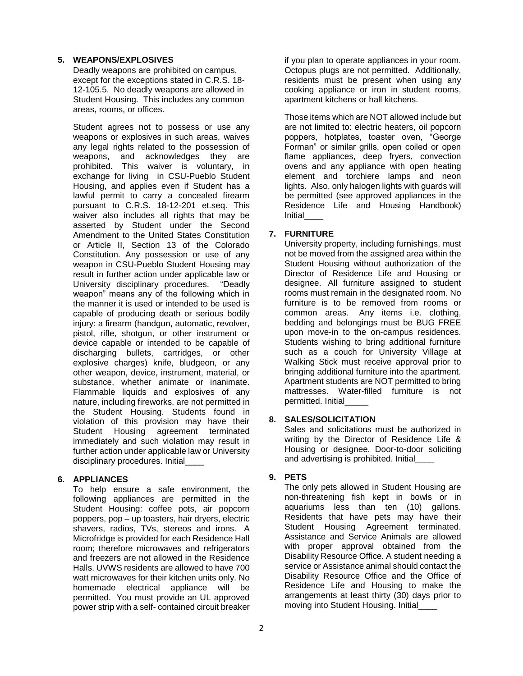### **5. WEAPONS/EXPLOSIVES**

Deadly weapons are prohibited on campus, except for the exceptions stated in C.R.S. 18- 12-105.5. No deadly weapons are allowed in Student Housing. This includes any common areas, rooms, or offices.

Student agrees not to possess or use any weapons or explosives in such areas, waives any legal rights related to the possession of weapons, and acknowledges they are prohibited. This waiver is voluntary, in exchange for living in CSU-Pueblo Student Housing, and applies even if Student has a lawful permit to carry a concealed firearm pursuant to C.R.S. 18-12-201 et.seq. This waiver also includes all rights that may be asserted by Student under the Second Amendment to the United States Constitution or Article II, Section 13 of the Colorado Constitution. Any possession or use of any weapon in CSU-Pueblo Student Housing may result in further action under applicable law or University disciplinary procedures. "Deadly weapon" means any of the following which in the manner it is used or intended to be used is capable of producing death or serious bodily injury: a firearm (handgun, automatic, revolver, pistol, rifle, shotgun, or other instrument or device capable or intended to be capable of discharging bullets, cartridges, or other explosive charges) knife, bludgeon, or any other weapon, device, instrument, material, or substance, whether animate or inanimate. Flammable liquids and explosives of any nature, including fireworks, are not permitted in the Student Housing. Students found in violation of this provision may have their Student Housing agreement terminated immediately and such violation may result in further action under applicable law or University disciplinary procedures. Initial\_\_\_\_

# **6. APPLIANCES**

To help ensure a safe environment, the following appliances are permitted in the Student Housing: coffee pots, air popcorn poppers, pop – up toasters, hair dryers, electric shavers, radios, TVs, stereos and irons. A Microfridge is provided for each Residence Hall room; therefore microwaves and refrigerators and freezers are not allowed in the Residence Halls. UVWS residents are allowed to have 700 watt microwaves for their kitchen units only. No homemade electrical appliance will be permitted. You must provide an UL approved power strip with a self- contained circuit breaker

if you plan to operate appliances in your room. Octopus plugs are not permitted. Additionally, residents must be present when using any cooking appliance or iron in student rooms, apartment kitchens or hall kitchens.

Those items which are NOT allowed include but are not limited to: electric heaters, oil popcorn poppers, hotplates, toaster oven, "George Forman" or similar grills, open coiled or open flame appliances, deep fryers, convection ovens and any appliance with open heating element and torchiere lamps and neon lights. Also, only halogen lights with guards will be permitted (see approved appliances in the Residence Life and Housing Handbook) **Initial** 

# **7. FURNITURE**

University property, including furnishings, must not be moved from the assigned area within the Student Housing without authorization of the Director of Residence Life and Housing or designee. All furniture assigned to student rooms must remain in the designated room. No furniture is to be removed from rooms or common areas. Any items i.e. clothing, bedding and belongings must be BUG FREE upon move-in to the on-campus residences. Students wishing to bring additional furniture such as a couch for University Village at Walking Stick must receive approval prior to bringing additional furniture into the apartment. Apartment students are NOT permitted to bring mattresses. Water-filled furniture is not permitted. Initial

# **8. SALES/SOLICITATION**

Sales and solicitations must be authorized in writing by the Director of Residence Life & Housing or designee. Door-to-door soliciting and advertising is prohibited. Initial\_\_\_\_

# **9. PETS**

The only pets allowed in Student Housing are non-threatening fish kept in bowls or in aquariums less than ten (10) gallons. Residents that have pets may have their Student Housing Agreement terminated. Assistance and Service Animals are allowed with proper approval obtained from the Disability Resource Office. A student needing a service or Assistance animal should contact the Disability Resource Office and the Office of Residence Life and Housing to make the arrangements at least thirty (30) days prior to moving into Student Housing. Initial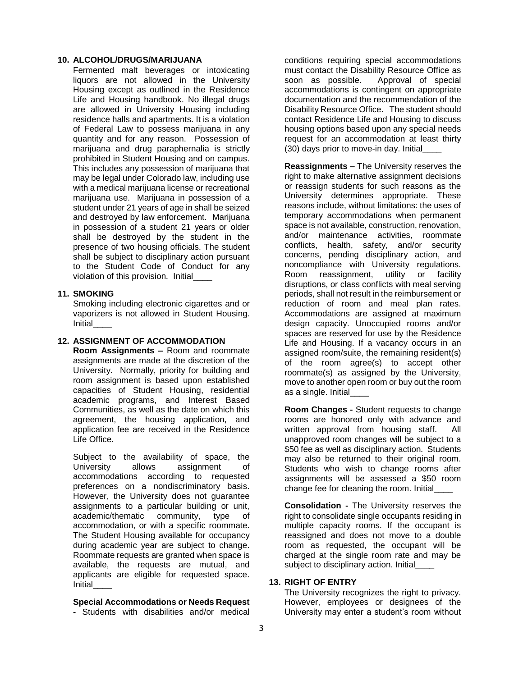#### **10. ALCOHOL/DRUGS/MARIJUANA**

Fermented malt beverages or intoxicating liquors are not allowed in the University Housing except as outlined in the Residence Life and Housing handbook. No illegal drugs are allowed in University Housing including residence halls and apartments. It is a violation of Federal Law to possess marijuana in any quantity and for any reason. Possession of marijuana and drug paraphernalia is strictly prohibited in Student Housing and on campus. This includes any possession of marijuana that may be legal under Colorado law, including use with a medical marijuana license or recreational marijuana use. Marijuana in possession of a student under 21 years of age in shall be seized and destroyed by law enforcement. Marijuana in possession of a student 21 years or older shall be destroyed by the student in the presence of two housing officials. The student shall be subject to disciplinary action pursuant to the Student Code of Conduct for any violation of this provision. Initial\_\_\_\_

#### **11. SMOKING**

Smoking including electronic cigarettes and or vaporizers is not allowed in Student Housing. **Initial** 

#### **12. ASSIGNMENT OF ACCOMMODATION**

**Room Assignments –** Room and roommate assignments are made at the discretion of the University. Normally, priority for building and room assignment is based upon established capacities of Student Housing, residential academic programs, and Interest Based Communities, as well as the date on which this agreement, the housing application, and application fee are received in the Residence Life Office.

Subject to the availability of space, the University allows assignment of accommodations according to requested preferences on a nondiscriminatory basis. However, the University does not guarantee assignments to a particular building or unit, academic/thematic community, type of accommodation, or with a specific roommate. The Student Housing available for occupancy during academic year are subject to change. Roommate requests are granted when space is available, the requests are mutual, and applicants are eligible for requested space. Initial\_\_\_\_

#### **Special Accommodations or Needs Request**

**-** Students with disabilities and/or medical

conditions requiring special accommodations must contact the Disability Resource Office as soon as possible. Approval of special accommodations is contingent on appropriate documentation and the recommendation of the Disability Resource Office. The student should contact Residence Life and Housing to discuss housing options based upon any special needs request for an accommodation at least thirty (30) days prior to move-in day. Initial\_\_\_\_

**Reassignments –** The University reserves the right to make alternative assignment decisions or reassign students for such reasons as the University determines appropriate. These reasons include, without limitations: the uses of temporary accommodations when permanent space is not available, construction, renovation, and/or maintenance activities, roommate conflicts, health, safety, and/or security concerns, pending disciplinary action, and noncompliance with University regulations. Room reassignment, utility or facility disruptions, or class conflicts with meal serving periods, shall not result in the reimbursement or reduction of room and meal plan rates. Accommodations are assigned at maximum design capacity. Unoccupied rooms and/or spaces are reserved for use by the Residence Life and Housing. If a vacancy occurs in an assigned room/suite, the remaining resident(s) of the room agree(s) to accept other roommate(s) as assigned by the University, move to another open room or buy out the room as a single. Initial\_\_\_\_

**Room Changes -** Student requests to change rooms are honored only with advance and written approval from housing staff. All unapproved room changes will be subject to a \$50 fee as well as disciplinary action. Students may also be returned to their original room. Students who wish to change rooms after assignments will be assessed a \$50 room change fee for cleaning the room. Initial\_\_\_\_

**Consolidation -** The University reserves the right to consolidate single occupants residing in multiple capacity rooms. If the occupant is reassigned and does not move to a double room as requested, the occupant will be charged at the single room rate and may be subject to disciplinary action. Initial

### **13. RIGHT OF ENTRY**

The University recognizes the right to privacy. However, employees or designees of the University may enter a student's room without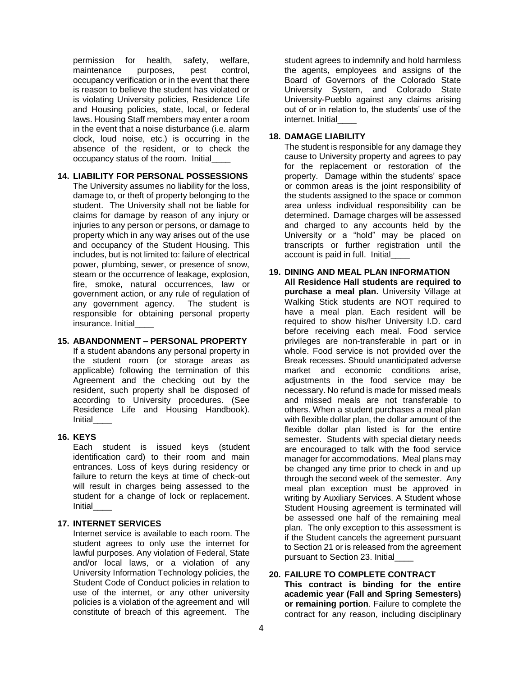permission for health, safety, welfare, maintenance purposes, pest control, occupancy verification or in the event that there is reason to believe the student has violated or is violating University policies, Residence Life and Housing policies, state, local, or federal laws. Housing Staff members may enter a room in the event that a noise disturbance (i.e. alarm clock, loud noise, etc.) is occurring in the absence of the resident, or to check the occupancy status of the room. Initial\_\_\_\_

### **14. LIABILITY FOR PERSONAL POSSESSIONS**

The University assumes no liability for the loss, damage to, or theft of property belonging to the student. The University shall not be liable for claims for damage by reason of any injury or injuries to any person or persons, or damage to property which in any way arises out of the use and occupancy of the Student Housing. This includes, but is not limited to: failure of electrical power, plumbing, sewer, or presence of snow, steam or the occurrence of leakage, explosion, fire, smoke, natural occurrences, law or government action, or any rule of regulation of any government agency. The student is responsible for obtaining personal property insurance. Initial

### **15. ABANDONMENT – PERSONAL PROPERTY**

If a student abandons any personal property in the student room (or storage areas as applicable) following the termination of this Agreement and the checking out by the resident, such property shall be disposed of according to University procedures. (See Residence Life and Housing Handbook). Initial\_\_\_\_

# **16. KEYS**

Each student is issued keys (student identification card) to their room and main entrances. Loss of keys during residency or failure to return the keys at time of check-out will result in charges being assessed to the student for a change of lock or replacement. **Initial** 

### **17. INTERNET SERVICES**

Internet service is available to each room. The student agrees to only use the internet for lawful purposes. Any violation of Federal, State and/or local laws, or a violation of any University Information Technology policies, the Student Code of Conduct policies in relation to use of the internet, or any other university policies is a violation of the agreement and will constitute of breach of this agreement. The

student agrees to indemnify and hold harmless the agents, employees and assigns of the Board of Governors of the Colorado State University System, and Colorado State University-Pueblo against any claims arising out of or in relation to, the students' use of the internet. Initial\_\_\_\_

#### **18. DAMAGE LIABILITY**

The student is responsible for any damage they cause to University property and agrees to pay for the replacement or restoration of the property. Damage within the students' space or common areas is the joint responsibility of the students assigned to the space or common area unless individual responsibility can be determined. Damage charges will be assessed and charged to any accounts held by the University or a "hold" may be placed on transcripts or further registration until the account is paid in full. Initial\_\_\_\_

**19. DINING AND MEAL PLAN INFORMATION All Residence Hall students are required to purchase a meal plan.** University Village at Walking Stick students are NOT required to have a meal plan. Each resident will be required to show his/her University I.D. card before receiving each meal. Food service privileges are non-transferable in part or in whole. Food service is not provided over the Break recesses. Should unanticipated adverse market and economic conditions arise, adjustments in the food service may be necessary. No refund is made for missed meals and missed meals are not transferable to others. When a student purchases a meal plan with flexible dollar plan, the dollar amount of the flexible dollar plan listed is for the entire semester. Students with special dietary needs are encouraged to talk with the food service manager for accommodations. Meal plans may be changed any time prior to check in and up through the second week of the semester. Any meal plan exception must be approved in writing by Auxiliary Services. A Student whose Student Housing agreement is terminated will be assessed one half of the remaining meal plan. The only exception to this assessment is if the Student cancels the agreement pursuant to Section 21 or is released from the agreement pursuant to Section 23. Initial

#### **20. FAILURE TO COMPLETE CONTRACT This contract is binding for the entire academic year (Fall and Spring Semesters) or remaining portion**. Failure to complete the contract for any reason, including disciplinary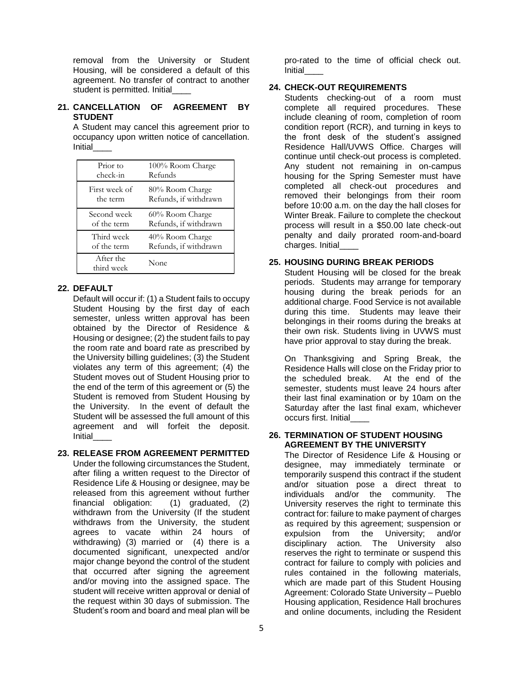removal from the University or Student Housing, will be considered a default of this agreement. No transfer of contract to another student is permitted. Initial

### **21. CANCELLATION OF AGREEMENT BY STUDENT**

A Student may cancel this agreement prior to occupancy upon written notice of cancellation. **Initial** 

| Prior to                | 100% Room Charge      |
|-------------------------|-----------------------|
| check-in                | Refunds               |
| First week of           | 80% Room Charge       |
| the term                | Refunds, if withdrawn |
| Second week             | 60% Room Charge       |
| of the term             | Refunds, if withdrawn |
| Third week              | 40% Room Charge       |
| of the term             | Refunds, if withdrawn |
| After the<br>third week | None                  |

### **22. DEFAULT**

Default will occur if: (1) a Student fails to occupy Student Housing by the first day of each semester, unless written approval has been obtained by the Director of Residence & Housing or designee; (2) the student fails to pay the room rate and board rate as prescribed by the University billing guidelines; (3) the Student violates any term of this agreement; (4) the Student moves out of Student Housing prior to the end of the term of this agreement or (5) the Student is removed from Student Housing by the University. In the event of default the Student will be assessed the full amount of this agreement and will forfeit the deposit. **Initial** 

# **23. RELEASE FROM AGREEMENT PERMITTED**

Under the following circumstances the Student, after filing a written request to the Director of Residence Life & Housing or designee, may be released from this agreement without further financial obligation: (1) graduated, (2) withdrawn from the University (If the student withdraws from the University, the student agrees to vacate within 24 hours of withdrawing) (3) married or (4) there is a documented significant, unexpected and/or major change beyond the control of the student that occurred after signing the agreement and/or moving into the assigned space. The student will receive written approval or denial of the request within 30 days of submission. The Student's room and board and meal plan will be

pro-rated to the time of official check out. **Initial** 

# **24. CHECK-OUT REQUIREMENTS**

Students checking-out of a room must complete all required procedures. These include cleaning of room, completion of room condition report (RCR), and turning in keys to the front desk of the student's assigned Residence Hall/UVWS Office. Charges will continue until check-out process is completed. Any student not remaining in on-campus housing for the Spring Semester must have completed all check-out procedures and removed their belongings from their room before 10:00 a.m. on the day the hall closes for Winter Break. Failure to complete the checkout process will result in a \$50.00 late check-out penalty and daily prorated room-and-board charges. Initial\_\_\_\_

### **25. HOUSING DURING BREAK PERIODS**

Student Housing will be closed for the break periods. Students may arrange for temporary housing during the break periods for an additional charge. Food Service is not available during this time. Students may leave their belongings in their rooms during the breaks at their own risk. Students living in UVWS must have prior approval to stay during the break.

On Thanksgiving and Spring Break, the Residence Halls will close on the Friday prior to the scheduled break. At the end of the semester, students must leave 24 hours after their last final examination or by 10am on the Saturday after the last final exam, whichever occurs first. Initial\_\_\_\_

### **26. TERMINATION OF STUDENT HOUSING AGREEMENT BY THE UNIVERSITY**

The Director of Residence Life & Housing or designee, may immediately terminate or temporarily suspend this contract if the student and/or situation pose a direct threat to individuals and/or the community. The University reserves the right to terminate this contract for: failure to make payment of charges as required by this agreement; suspension or expulsion from the University; and/or disciplinary action. The University also reserves the right to terminate or suspend this contract for failure to comply with policies and rules contained in the following materials, which are made part of this Student Housing Agreement: Colorado State University – Pueblo Housing application, Residence Hall brochures and online documents, including the Resident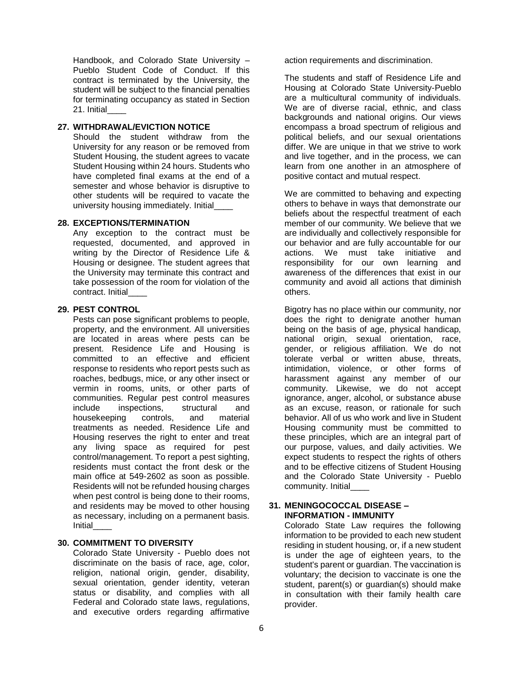Handbook, and Colorado State University – Pueblo Student Code of Conduct. If this contract is terminated by the University, the student will be subject to the financial penalties for terminating occupancy as stated in Section 21. Initial\_\_\_\_

### **27. WITHDRAWAL/EVICTION NOTICE**

Should the student withdraw from the University for any reason or be removed from Student Housing, the student agrees to vacate Student Housing within 24 hours. Students who have completed final exams at the end of a semester and whose behavior is disruptive to other students will be required to vacate the university housing immediately. Initial

#### **28. EXCEPTIONS/TERMINATION**

Any exception to the contract must be requested, documented, and approved in writing by the Director of Residence Life & Housing or designee. The student agrees that the University may terminate this contract and take possession of the room for violation of the contract. Initial

### **29. PEST CONTROL**

Pests can pose significant problems to people, property, and the environment. All universities are located in areas where pests can be present. Residence Life and Housing is committed to an effective and efficient response to residents who report pests such as roaches, bedbugs, mice, or any other insect or vermin in rooms, units, or other parts of communities. Regular pest control measures include inspections, structural and housekeeping controls, and material treatments as needed. Residence Life and Housing reserves the right to enter and treat any living space as required for pest control/management. To report a pest sighting, residents must contact the front desk or the main office at 549-2602 as soon as possible. Residents will not be refunded housing charges when pest control is being done to their rooms, and residents may be moved to other housing as necessary, including on a permanent basis. **Initial** 

### **30. COMMITMENT TO DIVERSITY**

Colorado State University - Pueblo does not discriminate on the basis of race, age, color, religion, national origin, gender, disability, sexual orientation, gender identity, veteran status or disability, and complies with all Federal and Colorado state laws, regulations, and executive orders regarding affirmative

action requirements and discrimination.

The students and staff of Residence Life and Housing at Colorado State University-Pueblo are a multicultural community of individuals. We are of diverse racial, ethnic, and class backgrounds and national origins. Our views encompass a broad spectrum of religious and political beliefs, and our sexual orientations differ. We are unique in that we strive to work and live together, and in the process, we can learn from one another in an atmosphere of positive contact and mutual respect.

We are committed to behaving and expecting others to behave in ways that demonstrate our beliefs about the respectful treatment of each member of our community. We believe that we are individually and collectively responsible for our behavior and are fully accountable for our actions. We must take initiative and responsibility for our own learning and awareness of the differences that exist in our community and avoid all actions that diminish others.

Bigotry has no place within our community, nor does the right to denigrate another human being on the basis of age, physical handicap, national origin, sexual orientation, race, gender, or religious affiliation. We do not tolerate verbal or written abuse, threats, intimidation, violence, or other forms of harassment against any member of our community. Likewise, we do not accept ignorance, anger, alcohol, or substance abuse as an excuse, reason, or rationale for such behavior. All of us who work and live in Student Housing community must be committed to these principles, which are an integral part of our purpose, values, and daily activities. We expect students to respect the rights of others and to be effective citizens of Student Housing and the Colorado State University - Pueblo community. Initial\_\_\_\_

### **31. MENINGOCOCCAL DISEASE – INFORMATION - IMMUNITY**

Colorado State Law requires the following information to be provided to each new student residing in student housing, or, if a new student is under the age of eighteen years, to the student's parent or guardian. The vaccination is voluntary; the decision to vaccinate is one the student, parent(s) or guardian(s) should make in consultation with their family health care provider.